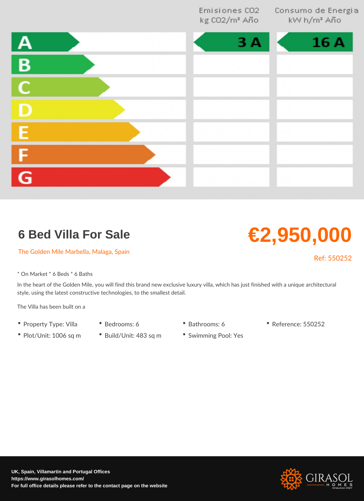## 6 Bed Villa For Sale

The Golden Mile Marbella, Malaga, Spain

Ref: 5502

€2,950,000

\* On Market \* 6 Beds \* 6 Baths

In the heart of the Golden Mile, you will find this brand new exclusive luxury villa, whic style, using the latest constructive technologies, to the smallest detail.

The Villa has been built on a

- Property Type: VillBaedrooms: 6 Bathrooms: 6 Reference: 550252
- Plot/Unit: 1006 sq Bruild/Unit: 483 sq & wimming Pool: Yes